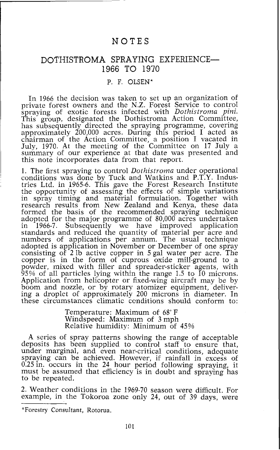## NOTES

## DOTHISTROMA SPRAYING EXPERIENCE-1966 TO 1910

## P. F. OLSEN\*

In 1966 the decision was taken to set up an organization of private forest owners and the N.Z. Forest Service to control spraying of exotic forests infected with *Dothistroma pini.*  This group, designated the Dothistroma Action Committee, has subsequently directed the spraying programme, covering approximately 200,000 acres. During this period I acted as chairman of the Action Committee, a position I vacated in July, 1970. At the meeting of the Committee on 17 July a summary of our experience at that date was presented and this note incorporates data from that report.

1. The first spraying to control *Dothistvoma* under operational conditions was done by Tuck and Watkins and P.T.Y. Industries Ltd. in 1965-6. This gave the Forest Research Institute the opportunity of assessing the effects of simple variations in spray timing and material formulation. Together with research results from New Zealand and Kenya, these data formed the basis of the recommended spraying technique adopted for the major programme of 80,000 acres undertaken<br>in 1966-7. Subsequently we have improved application in 1966-7. Subsequently we have improved application standards and reduced the quantity of material per acre and numbers of applications per annum. The usual technique adopted is application in November or December of one spray consisting of 2 lb active copper in 5 gal water per acre. The copper is in the form of cuprous oxide mill-ground to a powder, mixed with filler and spreader-sticker agents, with 95% of all particles lying within the range 1.5 to 10 microns. Application from helicopter or fixed-wing aircraft may be by boom and nozzle, or by rotary atomizer equipment, delivering a droplet of approximately 200 microns in diameter. In these circumstances climatic ccnditions should conform to:

> Temperature: Maximum of 68" F Windspeed: Maximum of 3 mph Relative humidity: Minimum of 45%

A series of spray patterns showing the range of acceptable deposits has been supplied to control staff to ensure that, under marginal, and even near-critical conditions, adequate spraying can be achieved. However, if rainfall in excess of 0.25 in, occurs in the 24 hour period following spraying, it must be assumed that efficiency is in doubt and spraying has to be repeated.

2. Weather conditions in the 1969-70 season were difficult. For example, in the Tokoroa zone only 24, out of 39 days, were

<sup>\*</sup>Forestry Consultant, Rotorua.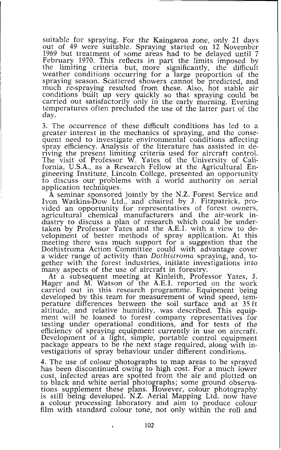suitable for spraying. For the Kaingaroa zone, only 21 days out of 49 were suitable. Spraying started on 12 November 1969 but treatment of some areas had to be delayed until 7 February 1970. This reflects in part the limits imposed by the limiting criteria but, more significantly, the difficult weather conditions occurring for a large proportion of the spraying season. Scattered showers cannot be predicted, and much re-spraying resulted from these. Also, hot stable air conditions built up very quickly so that spraying could be carried out satisfactorily only in the early morning. Evening temperatures often precluded the use of the latter part of the day.

3. The occurrence of these difficult conditions has led to a greater interest in the mechanics of spraying, and the consequent need to jnvestigate environmental conditions affecting spray efficiency. Analysis of the literature has assisted in deriving the present limiting criteria used for aircraft control. The visit of Professor W. Yates of the University of California, U.S.A., as a Research Fellow at the Agricultural Engineering Institute, Lincoln College, presented an opportunity to discuss our problems with a world authority on aerial application techniques.

**A** seminar sponsored jointly by the N.Z. Forest Service and Ivon Watkins-Dow Ltd., and chaired by J. Fitzpatrick, provided an opportunity for representatives of forest owners, agricultural chemical manufacturers and the air-work industry to discuss a plan of research which could be undertaken by Professor Yates and the A.E.I. with a view to development of better methods of spray application. At this meeting there was much support for a suggestion that the Dothistroma Action Committee could with advantage cover a wider range of activity than Dothistroma spraying, and, together with the forest industries, initiate investigations into many aspects of the use of aircraft in forestry.

At a subsequent meeting at Kinleith, Professor Yates, J. Hager and M. Watson of the A.E.I. reported on the work carried out in this research programme. Equipment being developed by this team for measurement of wind speed, temperature differences between the soil surface and at 35 ft altitude, and relative humidity, was described. This equipment will be loaned to forest company representatives for testing under operational conditions, and for tests of the efficiency of spraying equipment currently in use on aircraft. Development of a light, simple, portable control equipment package appears to be the next stage required, along with investigations of spray behaviour under different conditions.

4. The use of colour photographs to map areas to be sprayed has been discontinued owing to high cost. For a much lower cost, infected areas are spotted from the air and plotted on to black and white aerial photographs; some ground observations supplement these plans. However, colour photography is still being developed. N.Z. Aerial Mapping Ltd. now have a colour processing laboratory and aim to produce colour film with standard colour tone, not only within the roll and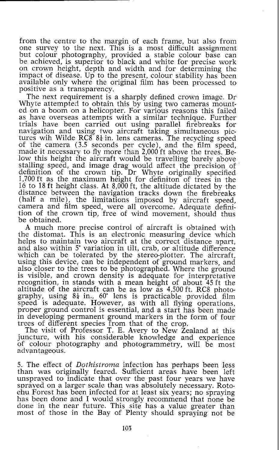from the centre to the margin of each frame, but also from one survey to the next. This is a most difficult assignment but colour photography, provided a stable colour base can be achieved, is superior to black and white for precise work on crown height, depth and width and for determining the impact of disease. Up to the present, colour stability has been available only where the original film has been processed to positive as a transparency.

The next requirement is a sharply defined crown image. Dr Whyte attempted to obtain this by using two cameras mounted on a boom on a helicopter. For various reasons this failed as have overseas attempts with a similar technique. Further trials have been carried out using parallel firebreaks for navigation and using two aircraft taking simultaneous pictures wih Wilde RC8 8‡ in. lens cameras. The recycling speed of the camera (3.5 seconds per cycle), and the film speed, of the camera (3.5 seconds per cycle), and the film speed, made it necessary to fly more than 2,000 ft above the trees. Below this height the aircraft would be travelling barely above stalling speed, and image drag would affect the precision of definition of the crown tip. Dr Whyte originally specified 1,700 ft as the maximum height for definiton of trees in the 16 to 18 ft height class. At 8,000 ft, the altitude dictated by the distance between the navigation tracks down the firebreaks (half a mile), the limitations imposed by aircraft speed, camera and film speed, were all overcome. Adequate definition of the crown tip, free of wind movement, should thus be obtained.

A much more precise control of aircraft is obtained with the distomat. This is an electronic measuring device which helps to maintain two aircraft at the correct distance apart. and also within 5" variation in tilt, crab, or altitude difference which can be tolerated by the stereo-plotter. The aircraft, using this device, can be independent of ground markers, and also closer to the trees to be photographed. Where the ground also closer to the trees to be photographed. Where the ground is visible, and crown density is adequate for interpretative recognition, in stands with a mean height of about 45 ft the altitude of the aircraft can be as low as 4,500 ft. RC8 photography, using  $8\frac{1}{4}$  in., 60° lens is practicable provided film speed is adequate. However, as with all flying operations, proper ground control js essential, and a start has been made in developing permanent ground markers in the form of four trees of different species from that of the crop.

The visit of Professor T. E. Avery to New Zealand at this juncture, with his considerable knowledge and experience of colour photography and photogrammetry, will be most advantageous.

5. The effect of *Dothistroma* infection has perhaps been less than was originally feared. Sufficient areas have been left unsprayed to indicate that over the past four years we have sprayed on a larger scale than was absolutely necessary. Rotoehu Forest has been infected for at least six years; no spraying has been done and I would strongly recommend that none be done in the near future. This site has a value greater than most of those in the Bay of Plenty should spraying not be